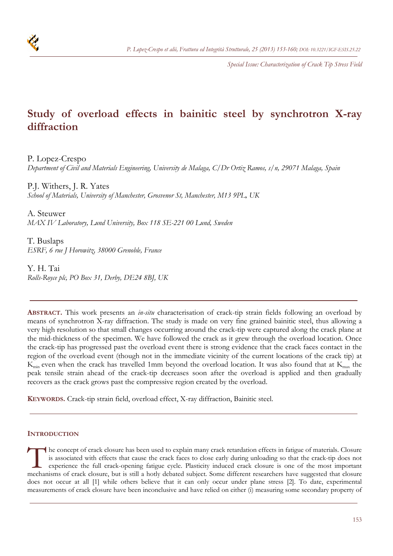

*Special Issue: Characterization of Crack Tip Stress Field*

# **Study of overload effects in bainitic steel by synchrotron X-ray diffraction**

P. Lopez-Crespo

*Department of Civil and Materials Engineering, University de Malaga, C/Dr Ortiz Ramos, s/n, 29071 Malaga, Spain* 

P.J. Withers, J. R. Yates *School of Materials, University of Manchester, Grosvenor St, Manchester, M13 9PL, UK* 

A. Steuwer *MAX IV Laboratory, Lund University, Box 118 SE-221 00 Lund, Sweden* 

T. Buslaps *ESRF, 6 rue J Horowitz, 38000 Grenoble, France* 

Y. H. Tai *Rolls-Royce plc, PO Box 31, Derby, DE24 8BJ, UK* 

**ABSTRACT.** This work presents an *in-situ* characterisation of crack-tip strain fields following an overload by means of synchrotron X-ray diffraction. The study is made on very fine grained bainitic steel, thus allowing a very high resolution so that small changes occurring around the crack-tip were captured along the crack plane at the mid-thickness of the specimen. We have followed the crack as it grew through the overload location. Once the crack-tip has progressed past the overload event there is strong evidence that the crack faces contact in the region of the overload event (though not in the immediate vicinity of the current locations of the crack tip) at  $K_{\text{min}}$  even when the crack has travelled 1mm beyond the overload location. It was also found that at  $K_{\text{max}}$  the peak tensile strain ahead of the crack-tip decreases soon after the overload is applied and then gradually recovers as the crack grows past the compressive region created by the overload.

**KEYWORDS.** Crack-tip strain field, overload effect, X-ray diffraction, Bainitic steel.

# **INTRODUCTION**

he concept of crack closure has been used to explain many crack retardation effects in fatigue of materials. Closure is associated with effects that cause the crack faces to close early during unloading so that the crack-tip does not experience the full crack-opening fatigue cycle. Plasticity induced crack closure is one of the most important The concept of crack closure has been used to explain many crack retardation effects in fatigue of materials. Closure is associated with effects that cause the crack faces to close early during unloading so that the crackdoes not occur at all [1] while others believe that it can only occur under plane stress [2]. To date, experimental measurements of crack closure have been inconclusive and have relied on either (i) measuring some secondary property of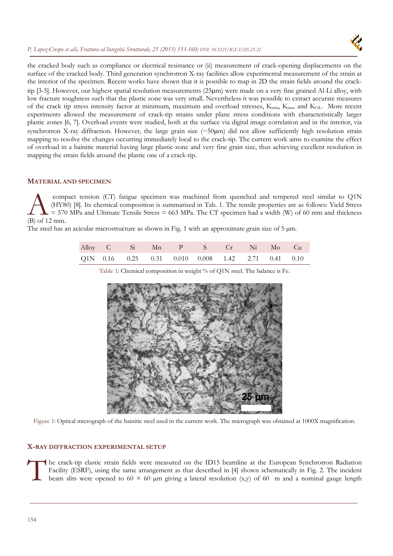## *P. Lopez-Crespo et alii, Frattura ed Integrità Strutturale, 25 (2013) 153-160; [DOI: 10.3221/IGF-ESIS.25.22](http://dx.medra.org/10.3221/IGF-ESIS.25.22&auth=true)*



the cracked body such as compliance or electrical resistance or (ii) measurement of crack-opening displacements on the surface of the cracked body. Third generation synchrotron X-ray facilities allow experimental measurement of the strain at the interior of the specimen. Recent works have shown that it is possible to map in 2D the strain fields around the cracktip [3-5]. However, our highest spatial resolution measurements (25m) were made on a very fine grained Al-Li alloy, with low fracture toughness such that the plastic zone was very small. Nevertheless it was possible to extract accurate measures of the crack tip stress intensity factor at minimum, maximum and overload stresses, K<sub>min</sub>, K<sub>max</sub> and K<sub>OL</sub>. More recent experiments allowed the measurement of crack-tip strains under plane stress conditions with characteristically larger plastic zones [6, 7]. Overload events were studied, both at the surface via digital image correlation and in the interior, via synchrotron X-ray diffraction. However, the large grain size  $(\sim 50 \mu m)$  did not allow sufficiently high resolution strain mapping to resolve the changes occurring immediately local to the crack-tip. The current work aims to examine the effect of overload in a bainitic material having large plastic-zone and very fine grain size, thus achieving excellent resolution in mapping the strain fields around the plastic one of a crack-tip.

# **MATERIAL AND SPECIMEN**

 compact tension (CT) fatigue specimen was machined from quenched and tempered steel similar to Q1N (HY80) [8]. Its chemical composition is summarised in Tab. 1. The tensile properties are as follows: Yield Stress = 570 MPa and Ultimate Tensile Stress = 663 MPa. The CT specimen had a width (W) of 60 mm and thickness (B) of 12 mm. A

The steel has an acicular microstructure as shown in Fig. 1 with an approximate grain size of  $5 \mu m$ .

|  |  | Alloy C Si Mn P S Cr Ni Mo Cu                      |  |  |
|--|--|----------------------------------------------------|--|--|
|  |  | Q1N 0.16 0.25 0.31 0.010 0.008 1.42 2.71 0.41 0.10 |  |  |



Table 1: Chemical composition in weight % of Q1N steel. The balance is Fe.

Figure 1: Optical micrograph of the bainitic steel used in the current work. The micrograph was obtained at 1000X magnification.

## **X-RAY DIFFRACTION EXPERIMENTAL SETUP**

he crack-tip elastic strain fields were measured on the ID15 beamline at the European Synchrotron Radiation Facility (ESRF), using the same arrangement as that described in [4] shown schematically in Fig. 2. The incident beam slits were opened to 60  $\times$  60  $\mu$ m giving a lateral resolution (x,y) of 60 m and a nominal gauge length The Fa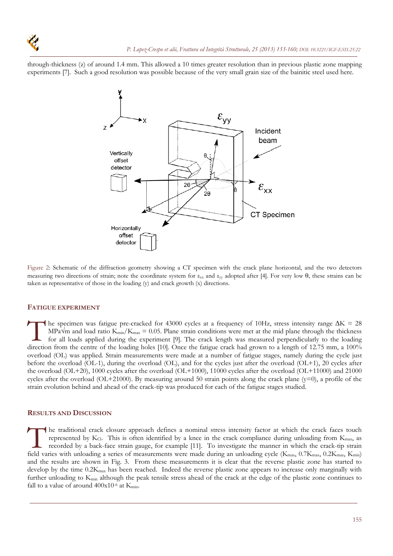through-thickness (z) of around 1.4 mm. This allowed a 10 times greater resolution than in previous plastic zone mapping experiments [7]. Such a good resolution was possible because of the very small grain size of the bainitic steel used here.



Figure 2: Schematic of the diffraction geometry showing a CT specimen with the crack plane horizontal, and the two detectors measuring two directions of strain; note the coordinate system for  $\varepsilon_{xx}$  and  $\varepsilon_{yy}$  adopted after [4]. For very low  $\theta$ , these strains can be taken as representative of those in the loading (y) and crack growth (x) directions.

## **FATIGUE EXPERIMENT**

The specimen was fatigue pre-cracked for 43000 cycles at a frequency of 10Hz, stress intensity range  $\Delta K = 28$ MPa $\sqrt{M}$  and load ratio K<sub>min</sub>/K<sub>max</sub> = 0.05. Plane strain conditions were met at the mid plane through the thickness for all loads applied during the experiment [9]. The crack length was measured perpendicularly to the loading direction from the centre of the loading holes [10]. Once the fatigue crack had grown to a length of 12.75 mm, a 100% overload (OL) was applied. Strain measurements were made at a number of fatigue stages, namely during the cycle just before the overload (OL-1), during the overload (OL), and for the cycles just after the overload (OL+1), 20 cycles after the overload (OL+20), 1000 cycles after the overload (OL+1000), 11000 cycles after the overload (OL+11000) and 21000 cycles after the overload (OL+21000). By measuring around 50 strain points along the crack plane (y=0), a profile of the strain evolution behind and ahead of the crack-tip was produced for each of the fatigue stages studied.  $\prod_{\substack{\text{for }n \text{odd}}}$ 

#### **RESULTS AND DISCUSSION**

he traditional crack closure approach defines a nominal stress intensity factor at which the crack faces touch represented by  $K<sub>CI</sub>$ . This is often identified by a knee in the crack compliance during unloading from  $K<sub>max</sub>$ , as recorded by a back-face strain gauge, for example [11]. To investigate the manner in which the crack-tip strain The traditional crack closure approach defines a nominal stress intensity factor at which the crack faces touch represented by K<sub>Cl</sub>. This is often identified by a knee in the crack compliance during unloading from K<sub>max</sub>, and the results are shown in Fig. 3. From these measurements it is clear that the reverse plastic zone has started to develop by the time  $0.2K_{\text{max}}$  has been reached. Indeed the reverse plastic zone appears to increase only marginally with further unloading to  $K_{min}$  although the peak tensile stress ahead of the crack at the edge of the plastic zone continues to fall to a value of around  $400x10^{-6}$  at K<sub>min</sub>.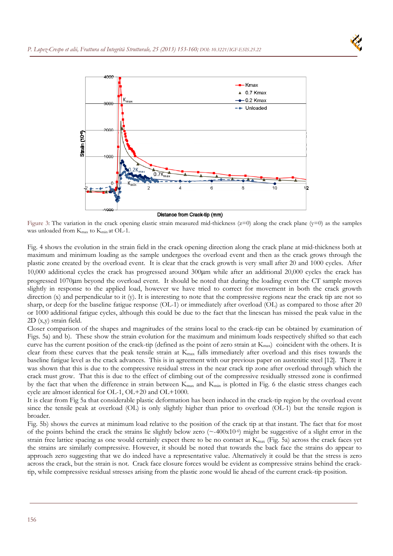

Figure 3: The variation in the crack opening elastic strain measured mid-thickness  $(z=0)$  along the crack plane (y=0) as the samples was unloaded from  $K_{\text{max}}$  to  $K_{\text{min}}$  at OL-1.

Fig. 4 shows the evolution in the strain field in the crack opening direction along the crack plane at mid-thickness both at maximum and minimum loading as the sample undergoes the overload event and then as the crack grows through the plastic zone created by the overload event. It is clear that the crack growth is very small after 20 and 1000 cycles. After  $10,000$  additional cycles the crack has progressed around  $300\mu m$  while after an additional  $20,000$  cycles the crack has progressed 1070m beyond the overload event. It should be noted that during the loading event the CT sample moves slightly in response to the applied load, however we have tried to correct for movement in both the crack growth direction (x) and perpendicular to it (y). It is interesting to note that the compressive regions near the crack tip are not so sharp, or deep for the baseline fatigue response (OL-1) or immediately after overload (OL) as compared to those after 20 or 1000 additional fatigue cycles, although this could be due to the fact that the linescan has missed the peak value in the 2D (x,y) strain field.

Closer comparison of the shapes and magnitudes of the strains local to the crack-tip can be obtained by examination of Figs. 5a) and b). These show the strain evolution for the maximum and minimum loads respectively shifted so that each curve has the current position of the crack-tip (defined as the point of zero strain at  $K_{\text{max}}$ ) coincident with the others. It is clear from these curves that the peak tensile strain at  $K_{\text{max}}$  falls immediately after overload and this rises towards the baseline fatigue level as the crack advances. This is in agreement with our previous paper on austenitic steel [12]. There it was shown that this is due to the compressive residual stress in the near crack tip zone after overload through which the crack must grow. That this is due to the effect of climbing out of the compressive residually stressed zone is confirmed by the fact that when the difference in strain between K<sub>max</sub> and K<sub>min</sub> is plotted in Fig. 6 the elastic stress changes each cycle are almost identical for OL-1, OL+20 and OL+1000.

It is clear from Fig 5a that considerable plastic deformation has been induced in the crack-tip region by the overload event since the tensile peak at overload (OL) is only slightly higher than prior to overload (OL-1) but the tensile region is broader.

Fig. 5b) shows the curves at minimum load relative to the position of the crack tip at that instant. The fact that for most of the points behind the crack the strains lie slightly below zero  $(\sim 400x10^{-6})$  might be suggestive of a slight error in the strain free lattice spacing as one would certainly expect there to be no contact at  $K_{\text{max}}$  (Fig. 5a) across the crack faces yet the strains are similarly compressive. However, it should be noted that towards the back face the strains do appear to approach zero suggesting that we do indeed have a representative value. Alternatively it could be that the stress is zero across the crack, but the strain is not. Crack face closure forces would be evident as compressive strains behind the cracktip, while compressive residual stresses arising from the plastic zone would lie ahead of the current crack-tip position.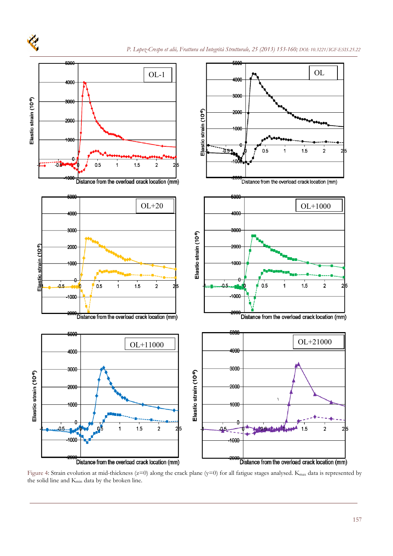

Figure 4: Strain evolution at mid-thickness ( $z=0$ ) along the crack plane ( $y=0$ ) for all fatigue stages analysed. K<sub>max</sub> data is represented by the solid line and Kmin data by the broken line.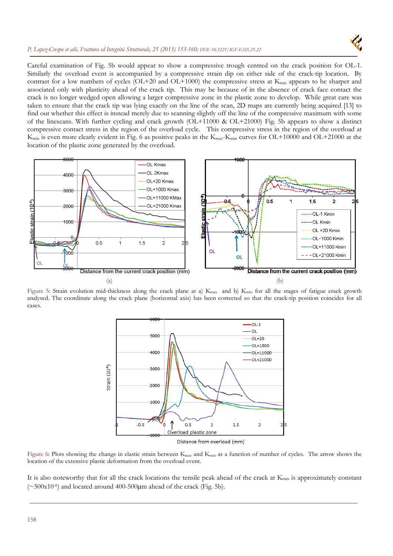## *P. Lopez-Crespo et alii, Frattura ed Integrità Strutturale, 25 (2013) 153-160[; DOI: 10.3221/IGF-ESIS.25.22](http://dx.medra.org/10.3221/IGF-ESIS.25.22&auth=true)*



Careful examination of Fig. 5b would appear to show a compressive trough centred on the crack position for OL-1. Similarly the overload event is accompanied by a compressive strain dip on either side of the crack-tip location. By contrast for a low numbers of cycles (OL+20 and OL+1000) the compressive stress at K<sub>min</sub> appears to be sharper and associated only with plasticity ahead of the crack tip. This may be because of in the absence of crack face contact the crack is no longer wedged open allowing a larger compressive zone in the plastic zone to develop. While great care was taken to ensure that the crack tip was lying exactly on the line of the scan, 2D maps are currently being acquired [13] to find out whether this effect is instead merely due to scanning slightly off the line of the compressive maximum with some of the linescans. With further cycling and crack growth (OL+11000 & OL+21000) Fig. 5b appears to show a distinct compressive contact stress in the region of the overload cycle. This compressive stress in the region of the overload at K<sub>min</sub> is even more clearly evident in Fig. 6 as positive peaks in the K<sub>max</sub>-K<sub>min</sub> curves for OL+10000 and OL+21000 at the location of the plastic zone generated by the overload.



Figure 5: Strain evolution mid-thickness along the crack plane at a) K<sub>max</sub> and b) K<sub>min</sub> for all the stages of fatigue crack growth analysed. The coordinate along the crack plane (horizontal axis) has been corrected so that the crack-tip position coincides for all cases.



Distance from overload (mm)

Figure 6: Plots showing the change in elastic strain between  $K_{\text{max}}$  and  $K_{\text{min}}$  as a function of number of cycles. The arrow shows the location of the extensive plastic deformation from the overload event.

It is also noteworthy that for all the crack locations the tensile peak ahead of the crack at  $K_{min}$  is approximately constant  $(\sim 500x10^{-6})$  and located around 400-500 $\mu$ m ahead of the crack (Fig. 5b).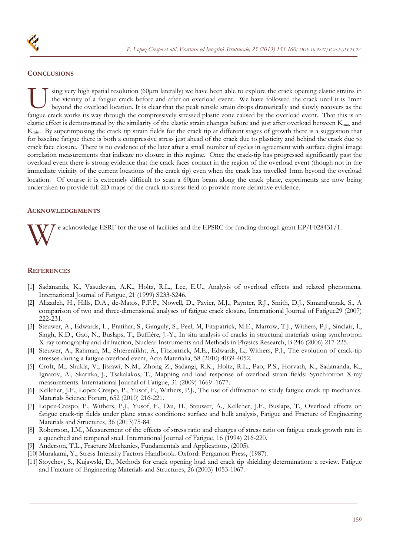

## **CONCLUSIONS**

sing very high spatial resolution (60 $\mu$ m laterally) we have been able to explore the crack opening elastic strains in the vicinity of a fatigue crack before and after an overload event. We have followed the crack until it is 1mm beyond the overload location. It is clear that the peak tensile strain drops dramatically and slowly recovers as the **Factive crack works its way through the compressively stressed plastic zone caused by the overload event.** We have followed the crack until it is 1mm beyond the overload location. It is clear that the peak tensile strain elastic effect is demonstrated by the similarity of the elastic strain changes before and just after overload between Kmax and Kmin. By superimposing the crack tip strain fields for the crack tip at different stages of growth there is a suggestion that for baseline fatigue there is both a compressive stress just ahead of the crack due to plasticity and behind the crack due to crack face closure. There is no evidence of the later after a small number of cycles in agreement with surface digital image correlation measurements that indicate no closure in this regime. Once the crack-tip has progressed significantly past the overload event there is strong evidence that the crack faces contact in the region of the overload event (though not in the immediate vicinity of the current locations of the crack tip) even when the crack has travelled 1mm beyond the overload location. Of course it is extremely difficult to scan a 60um beam along the crack plane, experiments are now being undertaken to provide full 2D maps of the crack tip stress field to provide more definitive evidence.

## **ACKNOWLEDGEMENTS**

e acknowledge ESRF for the use of facilities and the EPSRC for funding through grant EP/F028431/1. W

#### **REFERENCES**

- [1] Sadananda, K., Vasudevan, A.K., Holtz, R.L., Lee, E.U., Analysis of overload effects and related phenomena. International Journal of Fatigue, 21 (1999) S233-S246.
- [2] Alizadeh, H., Hills, D.A., de-Matos, P.F.P., Nowell, D., Pavier, M.J., Paynter, R.J., Smith, D.J., Simandjuntak, S., A comparison of two and three-dimensional analyses of fatigue crack closure, International Journal of Fatigue29 (2007) 222-231.
- [3] Steuwer, A., Edwards, L., Pratihar, S., Ganguly, S., Peel, M, Fitzpatrick, M.E., Marrow, T.J., Withers, P.J., Sinclair, I., Singh, K.D., Gao, N., Buslaps, T., Buffière, J.-Y., In situ analysis of cracks in structural materials using synchrotron X-ray tomography and diffraction, Nuclear Instruments and Methods in Physics Research, B 246 (2006) 217-225.
- [4] Steuwer, A., Rahman, M., Shterenlikht, A., Fitzpatrick, M.E., Edwards, L., Withers, P.J., The evolution of crack-tip stresses during a fatigue overload event, Acta Materialia, 58 (2010) 4039-4052.
- [5] Croft, M., Shukla, V., Jisrawi, N.M., Zhong Z., Sadangi, R.K., Holtz, R.L., Pao, P.S., Horvath, K., Sadananda, K., Ignatov, A., Skaritka, J., Tsakalakos, T., Mapping and load response of overload strain fields: Synchrotron X-ray measurements. International Journal of Fatigue, 31 (2009) 1669–1677.
- [6] Kelleher, J.F., Lopez-Crespo, P., Yusof, F., Withers, P.J., The use of diffraction to study fatigue crack tip mechanics. Materials Science Forum, 652 (2010) 216-221.
- [7] Lopez-Crespo, P., Withers, P.J., Yusof, F., Dai, H., Steuwer, A., Kelleher, J.F., Buslaps, T., Overload effects on fatigue crack-tip fields under plane stress conditions: surface and bulk analysis, Fatigue and Fracture of Engineering Materials and Structures, 36 (2013)75-84.
- [8] Robertson, I.M., Measurement of the effects of stress ratio and changes of stress ratio on fatigue crack growth rate in a quenched and tempered steel. International Journal of Fatigue, 16 (1994) 216-220.
- [9] Anderson, T.L., Fracture Mechanics, Fundamentals and Applications, (2005).
- [10] Murakami, Y., Stress Intensity Factors Handbook. Oxford: Pergamon Press, (1987).
- [11] Stoychev, S., Kujawski, D., Methods for crack opening load and crack tip shielding determination: a review. Fatigue and Fracture of Engineering Materials and Structures, 26 (2003) 1053-1067.